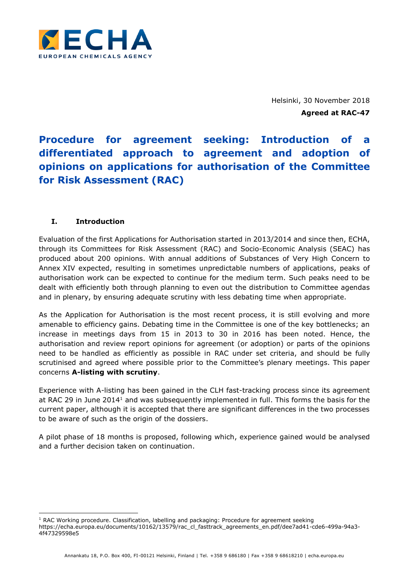

Helsinki, 30 November 2018 **Agreed at RAC-47**

# **Procedure for agreement seeking: Introduction of a differentiated approach to agreement and adoption of opinions on applications for authorisation of the Committee for Risk Assessment (RAC)**

## **I. Introduction**

-

Evaluation of the first Applications for Authorisation started in 2013/2014 and since then, ECHA, through its Committees for Risk Assessment (RAC) and Socio-Economic Analysis (SEAC) has produced about 200 opinions. With annual additions of Substances of Very High Concern to Annex XIV expected, resulting in sometimes unpredictable numbers of applications, peaks of authorisation work can be expected to continue for the medium term. Such peaks need to be dealt with efficiently both through planning to even out the distribution to Committee agendas and in plenary, by ensuring adequate scrutiny with less debating time when appropriate.

As the Application for Authorisation is the most recent process, it is still evolving and more amenable to efficiency gains. Debating time in the Committee is one of the key bottlenecks; an increase in meetings days from 15 in 2013 to 30 in 2016 has been noted. Hence, the authorisation and review report opinions for agreement (or adoption) or parts of the opinions need to be handled as efficiently as possible in RAC under set criteria, and should be fully scrutinised and agreed where possible prior to the Committee's plenary meetings. This paper concerns **A-listing with scrutiny**.

Experience with A-listing has been gained in the CLH fast-tracking process since its agreement at RAC 29 in June 2014<sup>1</sup> and was subsequently implemented in full. This forms the basis for the current paper, although it is accepted that there are significant differences in the two processes to be aware of such as the origin of the dossiers.

A pilot phase of 18 months is proposed, following which, experience gained would be analysed and a further decision taken on continuation.

<sup>&</sup>lt;sup>1</sup> RAC Working procedure. Classification, labelling and packaging: Procedure for agreement seeking https://echa.europa.eu/documents/10162/13579/rac\_cl\_fasttrack\_agreements\_en.pdf/dee7ad41-cde6-499a-94a3- 4f47329598e5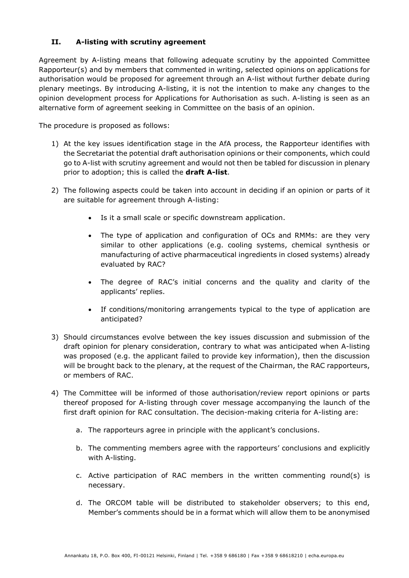### **II. A-listing with scrutiny agreement**

Agreement by A-listing means that following adequate scrutiny by the appointed Committee Rapporteur(s) and by members that commented in writing, selected opinions on applications for authorisation would be proposed for agreement through an A-list without further debate during plenary meetings. By introducing A-listing, it is not the intention to make any changes to the opinion development process for Applications for Authorisation as such. A-listing is seen as an alternative form of agreement seeking in Committee on the basis of an opinion.

The procedure is proposed as follows:

- 1) At the key issues identification stage in the AfA process, the Rapporteur identifies with the Secretariat the potential draft authorisation opinions or their components, which could go to A-list with scrutiny agreement and would not then be tabled for discussion in plenary prior to adoption; this is called the **draft A-list**.
- 2) The following aspects could be taken into account in deciding if an opinion or parts of it are suitable for agreement through A-listing:
	- Is it a small scale or specific downstream application.
	- The type of application and configuration of OCs and RMMs: are they very similar to other applications (e.g. cooling systems, chemical synthesis or manufacturing of active pharmaceutical ingredients in closed systems) already evaluated by RAC?
	- The degree of RAC's initial concerns and the quality and clarity of the applicants' replies.
	- If conditions/monitoring arrangements typical to the type of application are anticipated?
- 3) Should circumstances evolve between the key issues discussion and submission of the draft opinion for plenary consideration, contrary to what was anticipated when A-listing was proposed (e.g. the applicant failed to provide key information), then the discussion will be brought back to the plenary, at the request of the Chairman, the RAC rapporteurs, or members of RAC.
- 4) The Committee will be informed of those authorisation/review report opinions or parts thereof proposed for A-listing through cover message accompanying the launch of the first draft opinion for RAC consultation. The decision-making criteria for A-listing are:
	- a. The rapporteurs agree in principle with the applicant's conclusions.
	- b. The commenting members agree with the rapporteurs' conclusions and explicitly with A-listing.
	- c. Active participation of RAC members in the written commenting round(s) is necessary.
	- d. The ORCOM table will be distributed to stakeholder observers; to this end, Member's comments should be in a format which will allow them to be anonymised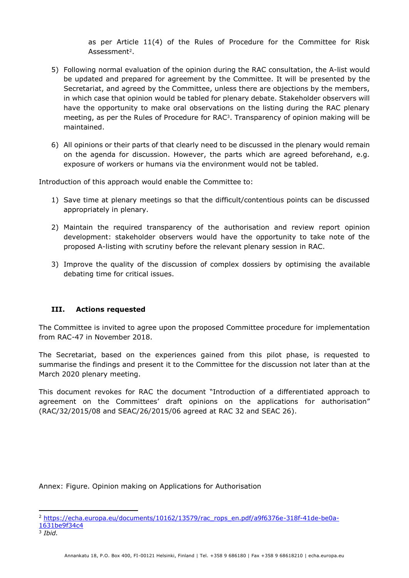as per Article 11(4) of the Rules of Procedure for the Committee for Risk Assessment<sup>2</sup>.

- 5) Following normal evaluation of the opinion during the RAC consultation, the A-list would be updated and prepared for agreement by the Committee. It will be presented by the Secretariat, and agreed by the Committee, unless there are objections by the members, in which case that opinion would be tabled for plenary debate. Stakeholder observers will have the opportunity to make oral observations on the listing during the RAC plenary meeting, as per the Rules of Procedure for RAC<sup>3</sup> . Transparency of opinion making will be maintained.
- 6) All opinions or their parts of that clearly need to be discussed in the plenary would remain on the agenda for discussion. However, the parts which are agreed beforehand, e.g. exposure of workers or humans via the environment would not be tabled.

Introduction of this approach would enable the Committee to:

- 1) Save time at plenary meetings so that the difficult/contentious points can be discussed appropriately in plenary.
- 2) Maintain the required transparency of the authorisation and review report opinion development: stakeholder observers would have the opportunity to take note of the proposed A-listing with scrutiny before the relevant plenary session in RAC.
- 3) Improve the quality of the discussion of complex dossiers by optimising the available debating time for critical issues.

### **III. Actions requested**

The Committee is invited to agree upon the proposed Committee procedure for implementation from RAC-47 in November 2018.

The Secretariat, based on the experiences gained from this pilot phase, is requested to summarise the findings and present it to the Committee for the discussion not later than at the March 2020 plenary meeting.

This document revokes for RAC the document "Introduction of a differentiated approach to agreement on the Committees' draft opinions on the applications for authorisation" (RAC/32/2015/08 and SEAC/26/2015/06 agreed at RAC 32 and SEAC 26).

Annex: Figure. Opinion making on Applications for Authorisation

<sup>-</sup><sup>2</sup> [https://echa.europa.eu/documents/10162/13579/rac\\_rops\\_en.pdf/a9f6376e-318f-41de-be0a-](https://echa.europa.eu/documents/10162/13579/rac_rops_en.pdf/a9f6376e-318f-41de-be0a-1631be9f34c4)[1631be9f34c4](https://echa.europa.eu/documents/10162/13579/rac_rops_en.pdf/a9f6376e-318f-41de-be0a-1631be9f34c4)

<sup>3</sup> *Ibid.*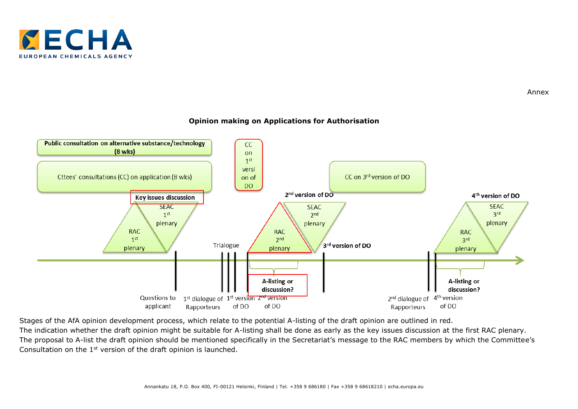



#### **Opinion making on Applications for Authorisation**

Stages of the AfA opinion development process, which relate to the potential A-listing of the draft opinion are outlined in red. The indication whether the draft opinion might be suitable for A-listing shall be done as early as the key issues discussion at the first RAC plenary. The proposal to A-list the draft opinion should be mentioned specifically in the Secretariat's message to the RAC members by which the Committee's Consultation on the 1<sup>st</sup> version of the draft opinion is launched.

Annex